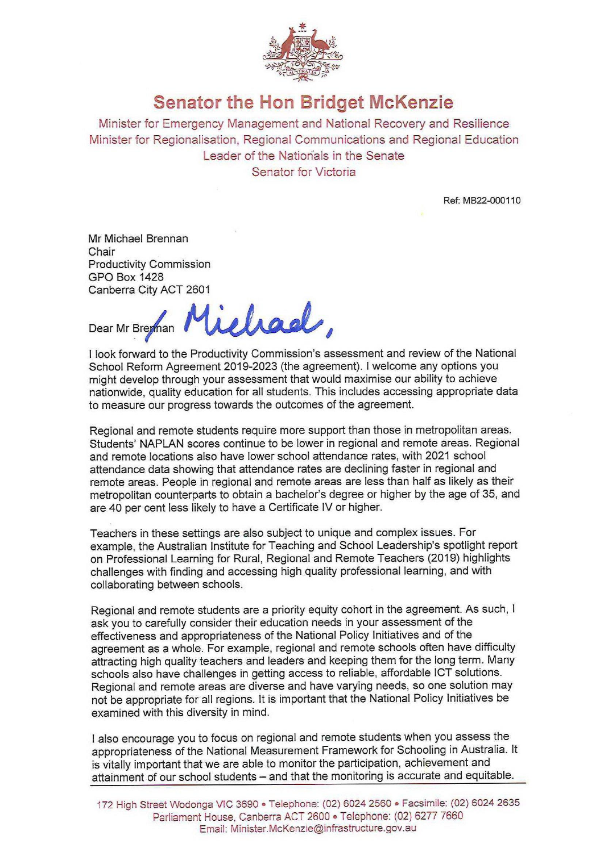

## **Senator the Hon Bridget**

Minister for Emergency Management and National Recovery and Resilience Minister for Regionalisation, Regional Communications and Regional Education Leader of the Nationals in the Senate Senator for Victoria

Ref: MB22-000110

Mr Michael Brennan Chair Productivity Commission GPO Box 1428 Canberra City ACT 2601

ichael, Dear Mr Breman

I look forward to the Productivity Commission's assessment and review of the National School Reform Agreement 2019−2023 (the agreement). I welcome any options you might develop through your assessment that would maximise our ability to achieve nationwide, quality education for all students. This includes accessing appropriate data to measure our progress towards the outcomes of the agreement

Regional and remote students require more support than those in metropolitan areas. Students' NAPLAN scores continue to be lower in regional and remote areas. Regional and remote locations also have lower school attendance rates, with 2021 school attendance data showing that attendance rates are declining faster in regional and remote areas. People in regional and remote areas are less than half as likely as their metropolitan counterparts to obtain a bachelor's degree or higher by the age of 35, and are 40 per cent less likely to have a Certificate IV or higher.

Teachers in these settings are also subject to unique and complex issues. For example, the Australian Institute for Teaching and School Leadership's spotlight report on Professional Learning for Rural, Regional and Remote Teachers (2019) highlights challenges with finding and accessing high quality professional learning, and with collaborating between schools.

Regional and remote students are a priority equity cohort in the agreement. As such, I ask you to carefully consider their education needs in your assessment of the effectiveness and appropriateness of the National Policy Initiatives and of the agreement as a whole. For example, regional and remote schools often have difficulty attracting high quality teachers and leaders and keeping them for the long term. Many schools also have challenges in getting access to reliable, affordable ICT solutions. Regional and remote areas are diverse and have varying needs, so one solution may not be appropriate for all regions. It is important that the National Policy Initiatives be examined with this diversity in mind.

I also encourage you to focus on regional and remote students when you assess the appropriateness of the National Measurement Framework for Schooling in Australia. It is vitally important that we are able to monitor the participation, achievement and attainment of our school students – and that the monitoring is accurate and equitable.